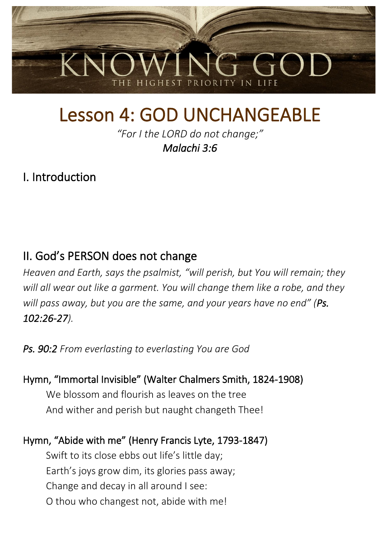

# Lesson 4: GOD UNCHANGEABLE

*"For I the LORD do not change;" Malachi 3:6* 

I. Introduction

# II. God's PERSON does not change

*Heaven and Earth, says the psalmist, "will perish, but You will remain; they will all wear out like a garment. You will change them like a robe, and they will pass away, but you are the same, and your years have no end" (Ps. 102:26-27).*

*Ps. 90:2 From everlasting to everlasting You are God*

Hymn, "Immortal Invisible" [\(Walter Chalmers Smith,](https://www.hymnal.net/en/search/all/author/Walter+Chalmers+Smith?t=h&n=14) 1824-1908) We blossom and flourish as leaves on the tree And wither and perish but naught changeth Thee!

Hymn, "Abide with me" (Henry Francis Lyte, 1793-1847) Swift to its close ebbs out life's little day; Earth's joys grow dim, its glories pass away; Change and decay in all around I see: O thou who changest not, abide with me!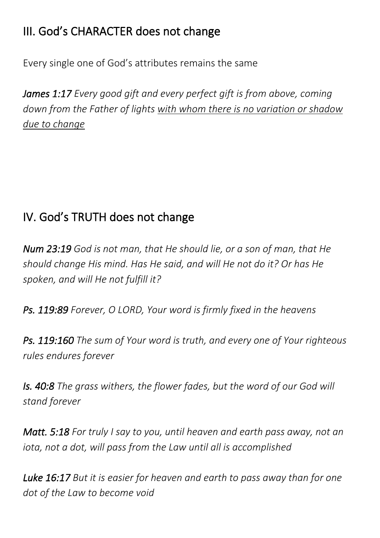# III. God's CHARACTER does not change

Every single one of God's attributes remains the same

*James 1:17 Every good gift and every perfect gift is from above, coming down from the Father of lights with whom there is no variation or shadow due to change* 

## IV. God's TRUTH does not change

*Num 23:19 God is not man, that He should lie, or a son of man, that He should change His mind. Has He said, and will He not do it? Or has He spoken, and will He not fulfill it?*

*Ps. 119:89 Forever, O LORD, Your word is firmly fixed in the heavens*

*Ps. 119:160 The sum of Your word is truth, and every one of Your righteous rules endures forever*

*Is. 40:8 The grass withers, the flower fades, but the word of our God will stand forever*

*Matt. 5:18 For truly I say to you, until heaven and earth pass away, not an iota, not a dot, will pass from the Law until all is accomplished*

*Luke 16:17 But it is easier for heaven and earth to pass away than for one dot of the Law to become void*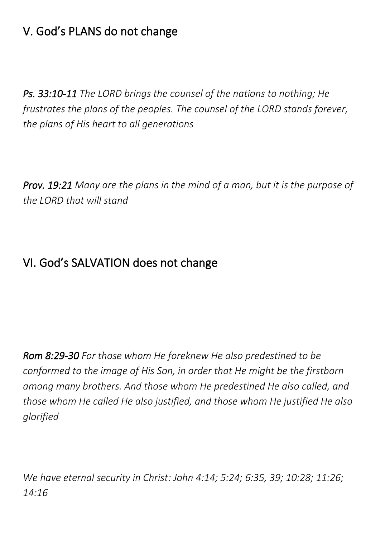# V. God's PLANS do not change

*Ps. 33:10-11 The LORD brings the counsel of the nations to nothing; He frustrates the plans of the peoples. The counsel of the LORD stands forever, the plans of His heart to all generations*

*Prov. 19:21 Many are the plans in the mind of a man, but it is the purpose of the LORD that will stand*

## VI. God's SALVATION does not change

*Rom 8:29-30 For those whom He foreknew He also predestined to be conformed to the image of His Son, in order that He might be the firstborn among many brothers. And those whom He predestined He also called, and those whom He called He also justified, and those whom He justified He also glorified*

*We have eternal security in Christ: John 4:14; 5:24; 6:35, 39; 10:28; 11:26; 14:16*